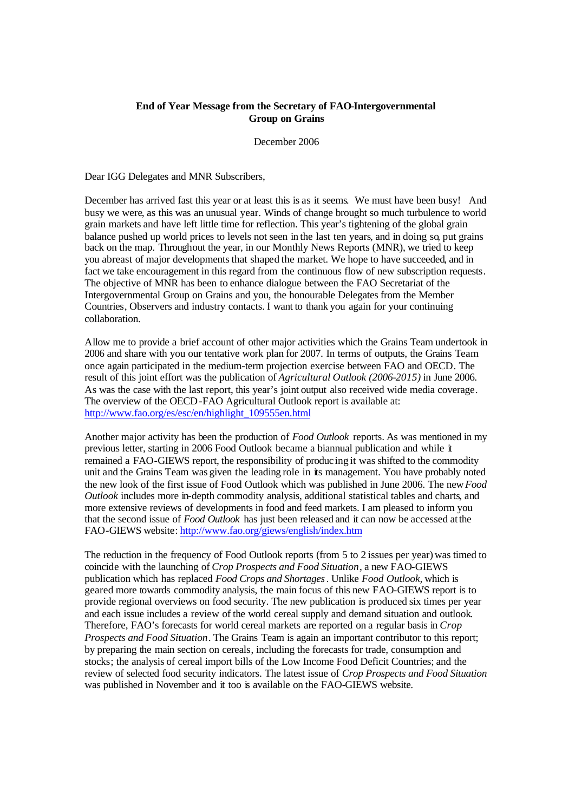## **End of Year Message from the Secretary of FAO-Intergovernmental Group on Grains**

December 2006

Dear IGG Delegates and MNR Subscribers,

December has arrived fast this year or at least this is as it seems. We must have been busy! And busy we were, as this was an unusual year. Winds of change brought so much turbulence to world grain markets and have left little time for reflection. This year's tightening of the global grain balance pushed up world prices to levels not seen in the last ten years, and in doing so, put grains back on the map. Throughout the year, in our Monthly News Reports (MNR), we tried to keep you abreast of major developmentsthat shaped the market. We hope to have succeeded, and in fact we take encouragement in this regard from the continuous flow of new subscription requests. The objective of MNR has been to enhance dialogue between the FAO Secretariat of the Intergovernmental Group on Grains and you, the honourable Delegates from the Member Countries, Observers and industry contacts. I want to thank you again for your continuing collaboration.

Allow me to provide a brief account of other major activities which the Grains Team undertook in 2006 and share with you our tentative work plan for 2007. In terms of outputs, the Grains Team once again participated in the medium-term projection exercise between FAO and OECD. The result of this joint effort was the publication of *Agricultural Outlook (2006-2015)* in June 2006. As was the case with the last report, this year's joint output also received wide media coverage. The overview of the OECD-FAO Agricultural Outlook report is available at: http://www.fao.org/es/esc/en/highlight\_109555en.html

Another major activity has been the production of *Food Outlook* reports. As was mentioned in my previous letter, starting in 2006 Food Outlook became a biannual publication and while it remained a FAO-GIEWS report, the responsibility of producing it was shifted to the commodity unit and the Grains Team was given the leading role in its management. You have probably noted the new look of the first issue of Food Outlook which was published in June 2006. The new *Food Outlook* includes more in-depth commodity analysis, additional statistical tables and charts, and more extensive reviews of developments in food and feed markets. I am pleased to inform you that the second issue of *Food Outlook* has just been released and it can now be accessed at the FAO-GIEWS website: http://www.fao.org/giews/english/index.htm

The reduction in the frequency of Food Outlook reports (from 5 to 2 issues per year) was timed to coincide with the launching of *Crop Prospects and Food Situation*, a new FAO-GIEWS publication which has replaced *Food Crops and Shortages*. Unlike *Food Outlook,* which is geared more towards commodity analysis, the main focus of this new FAO-GIEWS report is to provide regional overviews on food security. The new publication is produced six times per year and each issue includes a review of the world cereal supply and demand situation and outlook. Therefore, FAO's forecasts for world cereal markets are reported on a regular basis in *Crop Prospects and Food Situation*. The Grains Team is again an important contributor to this report; by preparing the main section on cereals, including the forecasts for trade, consumption and stocks; the analysis of cereal import bills of the Low Income Food Deficit Countries; and the review of selected food security indicators. The latest issue of *Crop Prospects and Food Situation* was published in November and it too is available on the FAO-GIEWS website.